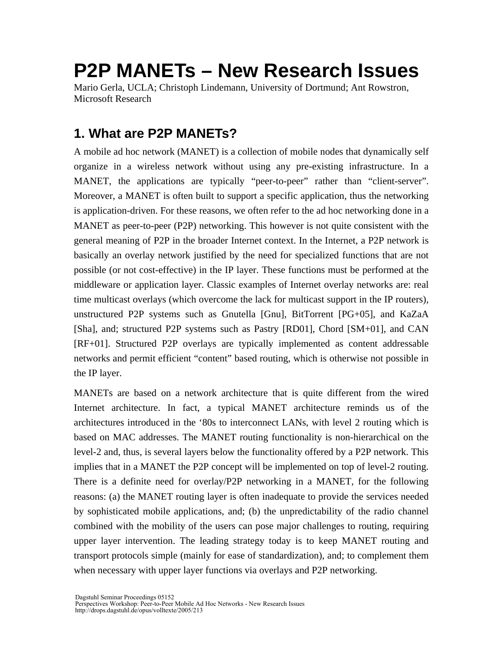# **P2P MANETs – New Research Issues**

Mario Gerla, UCLA; Christoph Lindemann, University of Dortmund; Ant Rowstron, Microsoft Research

# **1. What are P2P MANETs?**

A mobile ad hoc network (MANET) is a collection of mobile nodes that dynamically self organize in a wireless network without using any pre-existing infrastructure. In a MANET, the applications are typically "peer-to-peer" rather than "client-server". Moreover, a MANET is often built to support a specific application, thus the networking is application-driven. For these reasons, we often refer to the ad hoc networking done in a MANET as peer-to-peer (P2P) networking. This however is not quite consistent with the general meaning of P2P in the broader Internet context. In the Internet, a P2P network is basically an overlay network justified by the need for specialized functions that are not possible (or not cost-effective) in the IP layer. These functions must be performed at the middleware or application layer. Classic examples of Internet overlay networks are: real time multicast overlays (which overcome the lack for multicast support in the IP routers), unstructured P2P systems such as Gnutella [Gnu], BitTorrent [PG+05], and KaZaA [Sha], and; structured P2P systems such as Pastry [RD01], Chord [SM+01], and CAN [RF+01]. Structured P2P overlays are typically implemented as content addressable networks and permit efficient "content" based routing, which is otherwise not possible in the IP layer.

MANETs are based on a network architecture that is quite different from the wired Internet architecture. In fact, a typical MANET architecture reminds us of the architectures introduced in the '80s to interconnect LANs, with level 2 routing which is based on MAC addresses. The MANET routing functionality is non-hierarchical on the level-2 and, thus, is several layers below the functionality offered by a P2P network. This implies that in a MANET the P2P concept will be implemented on top of level-2 routing. There is a definite need for overlay/P2P networking in a MANET, for the following reasons: (a) the MANET routing layer is often inadequate to provide the services needed by sophisticated mobile applications, and; (b) the unpredictability of the radio channel combined with the mobility of the users can pose major challenges to routing, requiring upper layer intervention. The leading strategy today is to keep MANET routing and transport protocols simple (mainly for ease of standardization), and; to complement them when necessary with upper layer functions via overlays and P2P networking.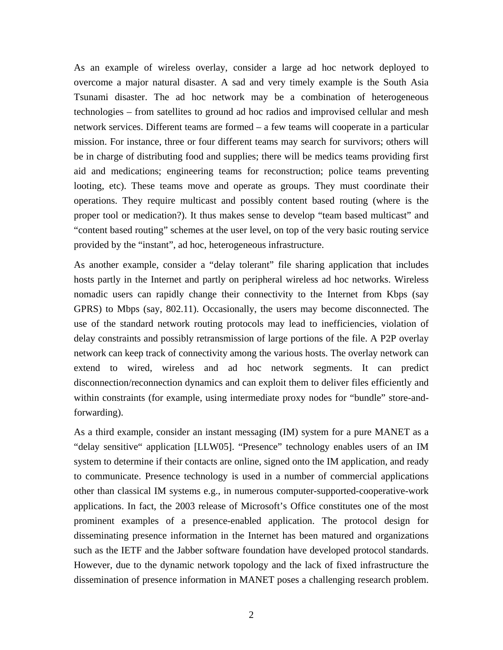As an example of wireless overlay, consider a large ad hoc network deployed to overcome a major natural disaster. A sad and very timely example is the South Asia Tsunami disaster. The ad hoc network may be a combination of heterogeneous technologies – from satellites to ground ad hoc radios and improvised cellular and mesh network services. Different teams are formed – a few teams will cooperate in a particular mission. For instance, three or four different teams may search for survivors; others will be in charge of distributing food and supplies; there will be medics teams providing first aid and medications; engineering teams for reconstruction; police teams preventing looting, etc). These teams move and operate as groups. They must coordinate their operations. They require multicast and possibly content based routing (where is the proper tool or medication?). It thus makes sense to develop "team based multicast" and "content based routing" schemes at the user level, on top of the very basic routing service provided by the "instant", ad hoc, heterogeneous infrastructure.

As another example, consider a "delay tolerant" file sharing application that includes hosts partly in the Internet and partly on peripheral wireless ad hoc networks. Wireless nomadic users can rapidly change their connectivity to the Internet from Kbps (say GPRS) to Mbps (say, 802.11). Occasionally, the users may become disconnected. The use of the standard network routing protocols may lead to inefficiencies, violation of delay constraints and possibly retransmission of large portions of the file. A P2P overlay network can keep track of connectivity among the various hosts. The overlay network can extend to wired, wireless and ad hoc network segments. It can predict disconnection/reconnection dynamics and can exploit them to deliver files efficiently and within constraints (for example, using intermediate proxy nodes for "bundle" store-andforwarding).

As a third example, consider an instant messaging (IM) system for a pure MANET as a "delay sensitive" application [LLW05]. "Presence" technology enables users of an IM system to determine if their contacts are online, signed onto the IM application, and ready to communicate. Presence technology is used in a number of commercial applications other than classical IM systems e.g., in numerous computer-supported-cooperative-work applications. In fact, the 2003 release of Microsoft's Office constitutes one of the most prominent examples of a presence-enabled application. The protocol design for disseminating presence information in the Internet has been matured and organizations such as the IETF and the Jabber software foundation have developed protocol standards. However, due to the dynamic network topology and the lack of fixed infrastructure the dissemination of presence information in MANET poses a challenging research problem.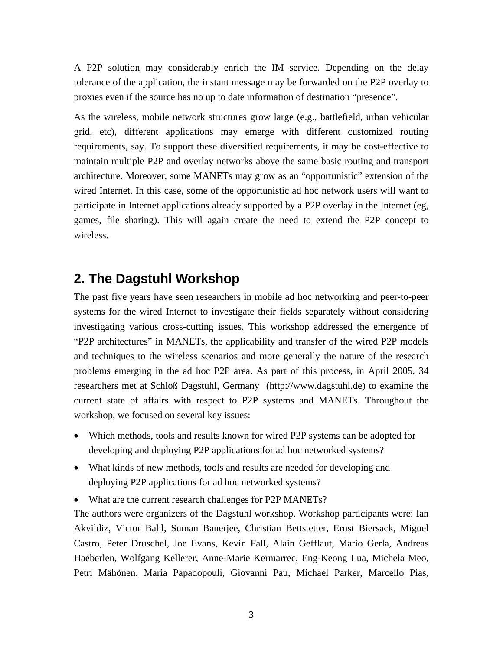A P2P solution may considerably enrich the IM service. Depending on the delay tolerance of the application, the instant message may be forwarded on the P2P overlay to proxies even if the source has no up to date information of destination "presence".

As the wireless, mobile network structures grow large (e.g., battlefield, urban vehicular grid, etc), different applications may emerge with different customized routing requirements, say. To support these diversified requirements, it may be cost-effective to maintain multiple P2P and overlay networks above the same basic routing and transport architecture. Moreover, some MANETs may grow as an "opportunistic" extension of the wired Internet. In this case, some of the opportunistic ad hoc network users will want to participate in Internet applications already supported by a P2P overlay in the Internet (eg, games, file sharing). This will again create the need to extend the P2P concept to wireless.

### **2. The Dagstuhl Workshop**

The past five years have seen researchers in mobile ad hoc networking and peer-to-peer systems for the wired Internet to investigate their fields separately without considering investigating various cross-cutting issues. This workshop addressed the emergence of "P2P architectures" in MANETs, the applicability and transfer of the wired P2P models and techniques to the wireless scenarios and more generally the nature of the research problems emerging in the ad hoc P2P area. As part of this process, in April 2005, 34 researchers met at Schloß Dagstuhl, Germany (http://www.dagstuhl.de) to examine the current state of affairs with respect to P2P systems and MANETs. Throughout the workshop, we focused on several key issues:

- Which methods, tools and results known for wired P2P systems can be adopted for developing and deploying P2P applications for ad hoc networked systems?
- What kinds of new methods, tools and results are needed for developing and deploying P2P applications for ad hoc networked systems?
- What are the current research challenges for P2P MANETs?

The authors were organizers of the Dagstuhl workshop. Workshop participants were: Ian Akyildiz, Victor Bahl, Suman Banerjee, Christian Bettstetter, Ernst Biersack, Miguel Castro, Peter Druschel, Joe Evans, Kevin Fall, Alain Gefflaut, Mario Gerla, Andreas Haeberlen, Wolfgang Kellerer, Anne-Marie Kermarrec, Eng-Keong Lua, Michela Meo, Petri Mähönen, Maria Papadopouli, Giovanni Pau, Michael Parker, Marcello Pias,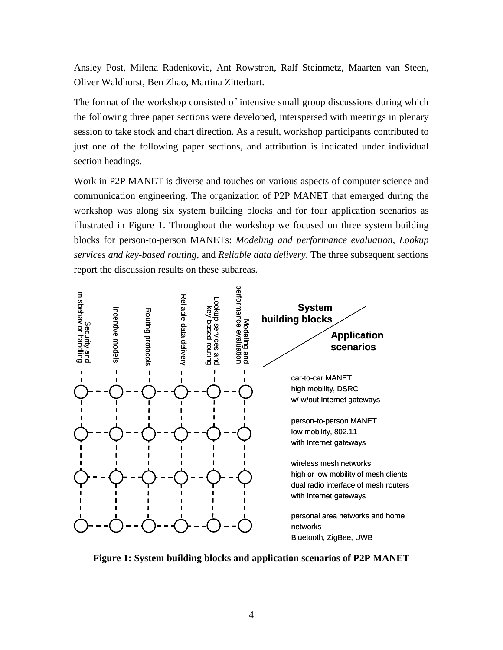Ansley Post, Milena Radenkovic, Ant Rowstron, Ralf Steinmetz, Maarten van Steen, Oliver Waldhorst, Ben Zhao, Martina Zitterbart.

The format of the workshop consisted of intensive small group discussions during which the following three paper sections were developed, interspersed with meetings in plenary session to take stock and chart direction. As a result, workshop participants contributed to just one of the following paper sections, and attribution is indicated under individual section headings.

Work in P2P MANET is diverse and touches on various aspects of computer science and communication engineering. The organization of P2P MANET that emerged during the workshop was along six system building blocks and for four application scenarios as illustrated in Figure 1. Throughout the workshop we focused on three system building blocks for person-to-person MANETs: *Modeling and performance evaluation, Lookup services and key-based routing*, and *Reliable data delivery*. The three subsequent sections report the discussion results on these subareas.



**Figure 1: System building blocks and application scenarios of P2P MANET**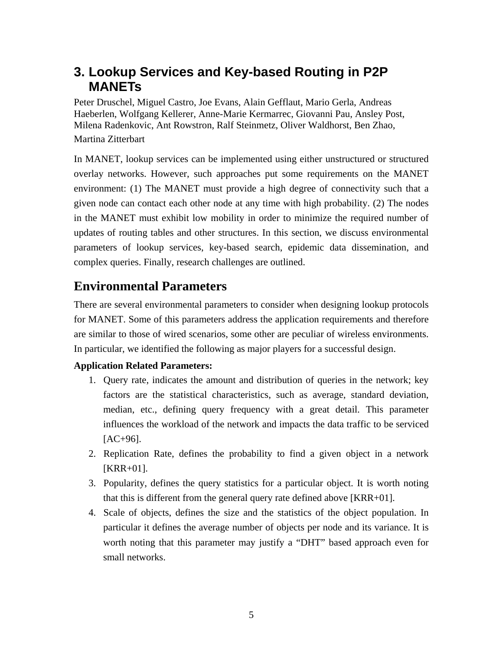# **3. Lookup Services and Key-based Routing in P2P MANETs**

Peter Druschel, Miguel Castro, Joe Evans, Alain Gefflaut, Mario Gerla, Andreas Haeberlen, Wolfgang Kellerer, Anne-Marie Kermarrec, Giovanni Pau, Ansley Post, Milena Radenkovic, Ant Rowstron, Ralf Steinmetz, Oliver Waldhorst, Ben Zhao, Martina Zitterbart

In MANET, lookup services can be implemented using either unstructured or structured overlay networks. However, such approaches put some requirements on the MANET environment: (1) The MANET must provide a high degree of connectivity such that a given node can contact each other node at any time with high probability. (2) The nodes in the MANET must exhibit low mobility in order to minimize the required number of updates of routing tables and other structures. In this section, we discuss environmental parameters of lookup services, key-based search, epidemic data dissemination, and complex queries. Finally, research challenges are outlined.

# **Environmental Parameters**

There are several environmental parameters to consider when designing lookup protocols for MANET. Some of this parameters address the application requirements and therefore are similar to those of wired scenarios, some other are peculiar of wireless environments. In particular, we identified the following as major players for a successful design.

#### **Application Related Parameters:**

- 1. Query rate, indicates the amount and distribution of queries in the network; key factors are the statistical characteristics, such as average, standard deviation, median, etc., defining query frequency with a great detail. This parameter influences the workload of the network and impacts the data traffic to be serviced  $[AC+96]$ .
- 2. Replication Rate, defines the probability to find a given object in a network [KRR+01].
- 3. Popularity, defines the query statistics for a particular object. It is worth noting that this is different from the general query rate defined above [KRR+01].
- 4. Scale of objects, defines the size and the statistics of the object population. In particular it defines the average number of objects per node and its variance. It is worth noting that this parameter may justify a "DHT" based approach even for small networks.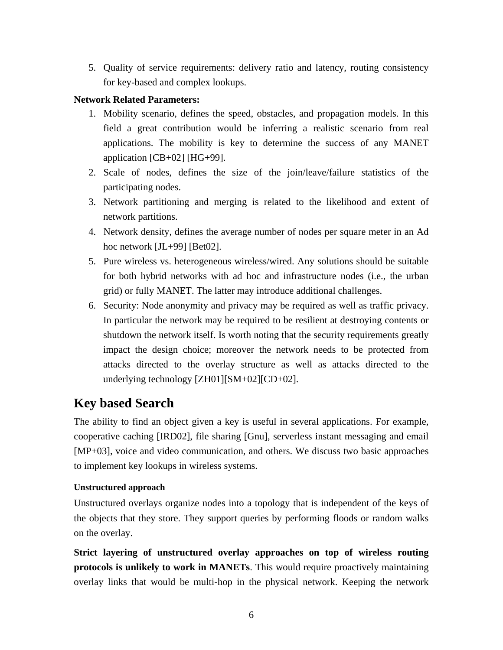5. Quality of service requirements: delivery ratio and latency, routing consistency for key-based and complex lookups.

#### **Network Related Parameters:**

- 1. Mobility scenario, defines the speed, obstacles, and propagation models. In this field a great contribution would be inferring a realistic scenario from real applications. The mobility is key to determine the success of any MANET application [CB+02] [HG+99].
- 2. Scale of nodes, defines the size of the join/leave/failure statistics of the participating nodes.
- 3. Network partitioning and merging is related to the likelihood and extent of network partitions.
- 4. Network density, defines the average number of nodes per square meter in an Ad hoc network [JL+99] [Bet02].
- 5. Pure wireless vs. heterogeneous wireless/wired. Any solutions should be suitable for both hybrid networks with ad hoc and infrastructure nodes (i.e., the urban grid) or fully MANET. The latter may introduce additional challenges.
- 6. Security: Node anonymity and privacy may be required as well as traffic privacy. In particular the network may be required to be resilient at destroying contents or shutdown the network itself. Is worth noting that the security requirements greatly impact the design choice; moreover the network needs to be protected from attacks directed to the overlay structure as well as attacks directed to the underlying technology [ZH01][SM+02][CD+02].

### **Key based Search**

The ability to find an object given a key is useful in several applications. For example, cooperative caching [IRD02], file sharing [Gnu], serverless instant messaging and email [MP+03], voice and video communication, and others. We discuss two basic approaches to implement key lookups in wireless systems.

#### **Unstructured approach**

Unstructured overlays organize nodes into a topology that is independent of the keys of the objects that they store. They support queries by performing floods or random walks on the overlay.

**Strict layering of unstructured overlay approaches on top of wireless routing protocols is unlikely to work in MANETs**. This would require proactively maintaining overlay links that would be multi-hop in the physical network. Keeping the network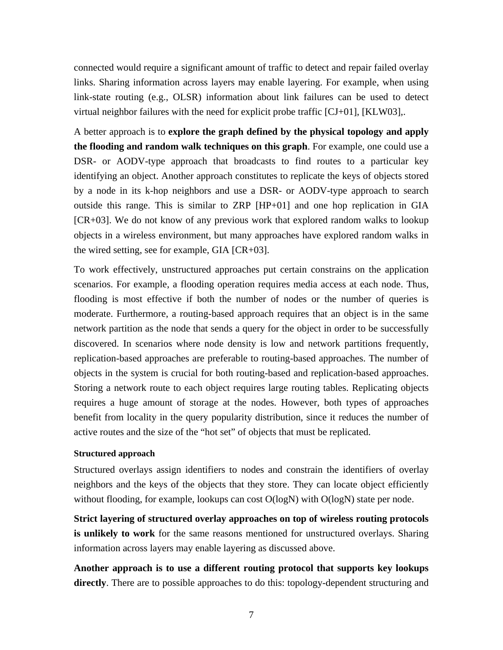connected would require a significant amount of traffic to detect and repair failed overlay links. Sharing information across layers may enable layering. For example, when using link-state routing (e.g., OLSR) information about link failures can be used to detect virtual neighbor failures with the need for explicit probe traffic  $[CJ+01]$ ,  $[KLW03]$ ,.

A better approach is to **explore the graph defined by the physical topology and apply the flooding and random walk techniques on this graph**. For example, one could use a DSR- or AODV-type approach that broadcasts to find routes to a particular key identifying an object. Another approach constitutes to replicate the keys of objects stored by a node in its k-hop neighbors and use a DSR- or AODV-type approach to search outside this range. This is similar to ZRP [HP+01] and one hop replication in GIA [CR+03]. We do not know of any previous work that explored random walks to lookup objects in a wireless environment, but many approaches have explored random walks in the wired setting, see for example, GIA [CR+03].

To work effectively, unstructured approaches put certain constrains on the application scenarios. For example, a flooding operation requires media access at each node. Thus, flooding is most effective if both the number of nodes or the number of queries is moderate. Furthermore, a routing-based approach requires that an object is in the same network partition as the node that sends a query for the object in order to be successfully discovered. In scenarios where node density is low and network partitions frequently, replication-based approaches are preferable to routing-based approaches. The number of objects in the system is crucial for both routing-based and replication-based approaches. Storing a network route to each object requires large routing tables. Replicating objects requires a huge amount of storage at the nodes. However, both types of approaches benefit from locality in the query popularity distribution, since it reduces the number of active routes and the size of the "hot set" of objects that must be replicated.

#### **Structured approach**

Structured overlays assign identifiers to nodes and constrain the identifiers of overlay neighbors and the keys of the objects that they store. They can locate object efficiently without flooding, for example, lookups can cost  $O(logN)$  with  $O(logN)$  state per node.

**Strict layering of structured overlay approaches on top of wireless routing protocols is unlikely to work** for the same reasons mentioned for unstructured overlays. Sharing information across layers may enable layering as discussed above.

**Another approach is to use a different routing protocol that supports key lookups directly**. There are to possible approaches to do this: topology-dependent structuring and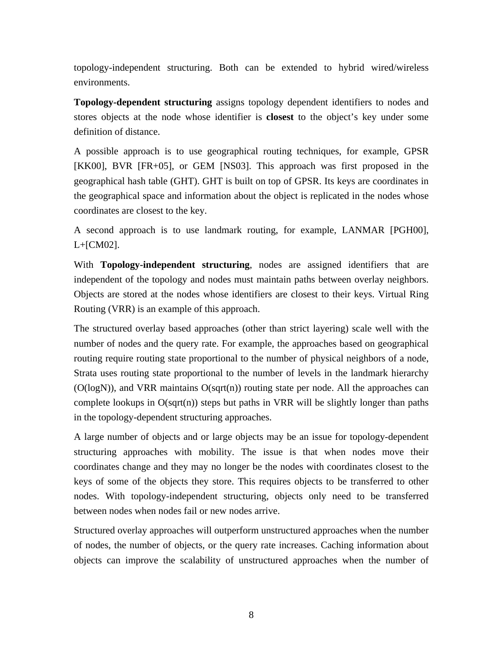topology-independent structuring. Both can be extended to hybrid wired/wireless environments.

**Topology-dependent structuring** assigns topology dependent identifiers to nodes and stores objects at the node whose identifier is **closest** to the object's key under some definition of distance.

A possible approach is to use geographical routing techniques, for example, GPSR [KK00], BVR [FR+05], or GEM [NS03]. This approach was first proposed in the geographical hash table (GHT). GHT is built on top of GPSR. Its keys are coordinates in the geographical space and information about the object is replicated in the nodes whose coordinates are closest to the key.

A second approach is to use landmark routing, for example, LANMAR [PGH00], L+[CM02].

With **Topology-independent structuring**, nodes are assigned identifiers that are independent of the topology and nodes must maintain paths between overlay neighbors. Objects are stored at the nodes whose identifiers are closest to their keys. Virtual Ring Routing (VRR) is an example of this approach.

The structured overlay based approaches (other than strict layering) scale well with the number of nodes and the query rate. For example, the approaches based on geographical routing require routing state proportional to the number of physical neighbors of a node, Strata uses routing state proportional to the number of levels in the landmark hierarchy  $(O(logN))$ , and VRR maintains  $O(sqrt(n))$  routing state per node. All the approaches can complete lookups in  $O(sqrt(n))$  steps but paths in VRR will be slightly longer than paths in the topology-dependent structuring approaches.

A large number of objects and or large objects may be an issue for topology-dependent structuring approaches with mobility. The issue is that when nodes move their coordinates change and they may no longer be the nodes with coordinates closest to the keys of some of the objects they store. This requires objects to be transferred to other nodes. With topology-independent structuring, objects only need to be transferred between nodes when nodes fail or new nodes arrive.

Structured overlay approaches will outperform unstructured approaches when the number of nodes, the number of objects, or the query rate increases. Caching information about objects can improve the scalability of unstructured approaches when the number of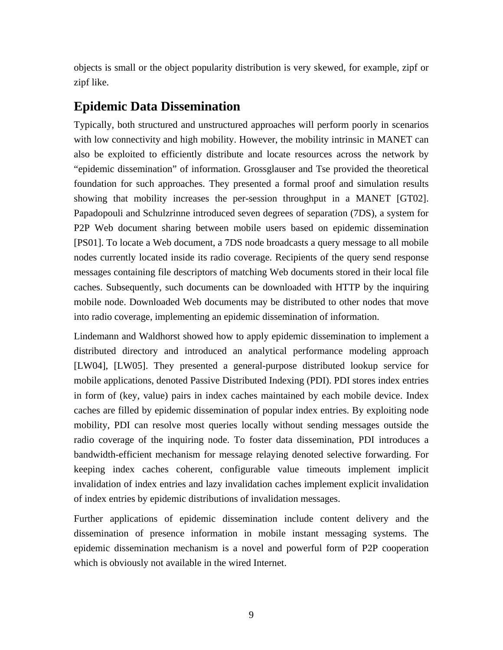objects is small or the object popularity distribution is very skewed, for example, zipf or zipf like.

### **Epidemic Data Dissemination**

Typically, both structured and unstructured approaches will perform poorly in scenarios with low connectivity and high mobility. However, the mobility intrinsic in MANET can also be exploited to efficiently distribute and locate resources across the network by "epidemic dissemination" of information. Grossglauser and Tse provided the theoretical foundation for such approaches. They presented a formal proof and simulation results showing that mobility increases the per-session throughput in a MANET [GT02]. Papadopouli and Schulzrinne introduced seven degrees of separation (7DS), a system for P2P Web document sharing between mobile users based on epidemic dissemination [PS01]. To locate a Web document, a 7DS node broadcasts a query message to all mobile nodes currently located inside its radio coverage. Recipients of the query send response messages containing file descriptors of matching Web documents stored in their local file caches. Subsequently, such documents can be downloaded with HTTP by the inquiring mobile node. Downloaded Web documents may be distributed to other nodes that move into radio coverage, implementing an epidemic dissemination of information.

Lindemann and Waldhorst showed how to apply epidemic dissemination to implement a distributed directory and introduced an analytical performance modeling approach [LW04], [LW05]. They presented a general-purpose distributed lookup service for mobile applications, denoted Passive Distributed Indexing (PDI). PDI stores index entries in form of (key, value) pairs in index caches maintained by each mobile device. Index caches are filled by epidemic dissemination of popular index entries. By exploiting node mobility, PDI can resolve most queries locally without sending messages outside the radio coverage of the inquiring node. To foster data dissemination, PDI introduces a bandwidth-efficient mechanism for message relaying denoted selective forwarding. For keeping index caches coherent, configurable value timeouts implement implicit invalidation of index entries and lazy invalidation caches implement explicit invalidation of index entries by epidemic distributions of invalidation messages.

Further applications of epidemic dissemination include content delivery and the dissemination of presence information in mobile instant messaging systems. The epidemic dissemination mechanism is a novel and powerful form of P2P cooperation which is obviously not available in the wired Internet.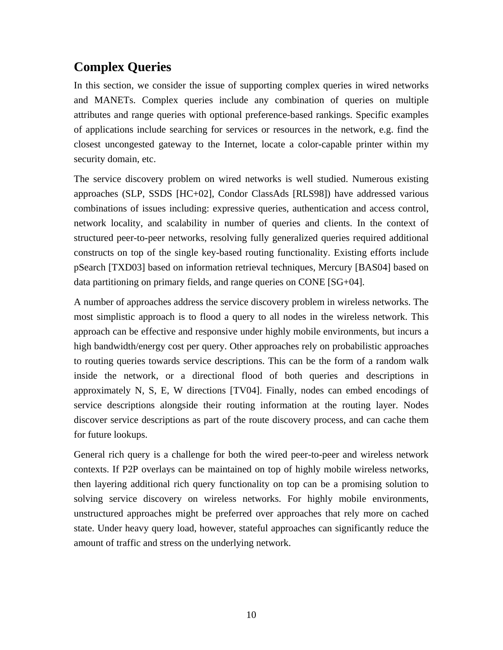# **Complex Queries**

In this section, we consider the issue of supporting complex queries in wired networks and MANETs. Complex queries include any combination of queries on multiple attributes and range queries with optional preference-based rankings. Specific examples of applications include searching for services or resources in the network, e.g. find the closest uncongested gateway to the Internet, locate a color-capable printer within my security domain, etc.

The service discovery problem on wired networks is well studied. Numerous existing approaches (SLP, SSDS [HC+02], Condor ClassAds [RLS98]) have addressed various combinations of issues including: expressive queries, authentication and access control, network locality, and scalability in number of queries and clients. In the context of structured peer-to-peer networks, resolving fully generalized queries required additional constructs on top of the single key-based routing functionality. Existing efforts include pSearch [TXD03] based on information retrieval techniques, Mercury [BAS04] based on data partitioning on primary fields, and range queries on CONE [SG+04].

A number of approaches address the service discovery problem in wireless networks. The most simplistic approach is to flood a query to all nodes in the wireless network. This approach can be effective and responsive under highly mobile environments, but incurs a high bandwidth/energy cost per query. Other approaches rely on probabilistic approaches to routing queries towards service descriptions. This can be the form of a random walk inside the network, or a directional flood of both queries and descriptions in approximately N, S, E, W directions [TV04]. Finally, nodes can embed encodings of service descriptions alongside their routing information at the routing layer. Nodes discover service descriptions as part of the route discovery process, and can cache them for future lookups.

General rich query is a challenge for both the wired peer-to-peer and wireless network contexts. If P2P overlays can be maintained on top of highly mobile wireless networks, then layering additional rich query functionality on top can be a promising solution to solving service discovery on wireless networks. For highly mobile environments, unstructured approaches might be preferred over approaches that rely more on cached state. Under heavy query load, however, stateful approaches can significantly reduce the amount of traffic and stress on the underlying network.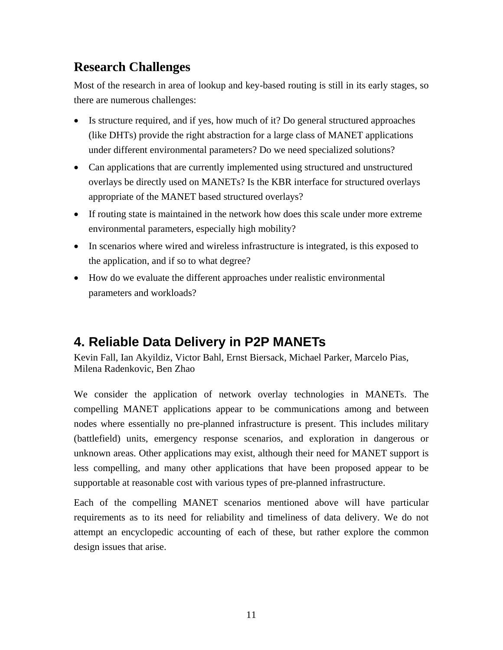# **Research Challenges**

Most of the research in area of lookup and key-based routing is still in its early stages, so there are numerous challenges:

- Is structure required, and if yes, how much of it? Do general structured approaches (like DHTs) provide the right abstraction for a large class of MANET applications under different environmental parameters? Do we need specialized solutions?
- Can applications that are currently implemented using structured and unstructured overlays be directly used on MANETs? Is the KBR interface for structured overlays appropriate of the MANET based structured overlays?
- If routing state is maintained in the network how does this scale under more extreme environmental parameters, especially high mobility?
- In scenarios where wired and wireless infrastructure is integrated, is this exposed to the application, and if so to what degree?
- How do we evaluate the different approaches under realistic environmental parameters and workloads?

# **4. Reliable Data Delivery in P2P MANETs**

Kevin Fall, Ian Akyildiz, Victor Bahl, Ernst Biersack, Michael Parker, Marcelo Pias, Milena Radenkovic, Ben Zhao

We consider the application of network overlay technologies in MANETs. The compelling MANET applications appear to be communications among and between nodes where essentially no pre-planned infrastructure is present. This includes military (battlefield) units, emergency response scenarios, and exploration in dangerous or unknown areas. Other applications may exist, although their need for MANET support is less compelling, and many other applications that have been proposed appear to be supportable at reasonable cost with various types of pre-planned infrastructure.

Each of the compelling MANET scenarios mentioned above will have particular requirements as to its need for reliability and timeliness of data delivery. We do not attempt an encyclopedic accounting of each of these, but rather explore the common design issues that arise.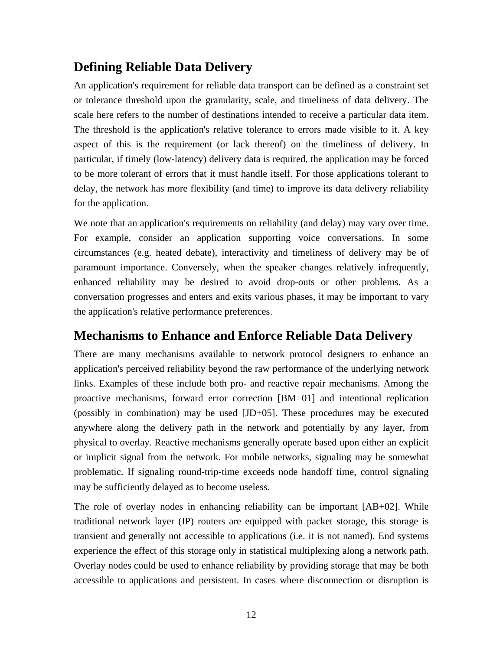# **Defining Reliable Data Delivery**

An application's requirement for reliable data transport can be defined as a constraint set or tolerance threshold upon the granularity, scale, and timeliness of data delivery. The scale here refers to the number of destinations intended to receive a particular data item. The threshold is the application's relative tolerance to errors made visible to it. A key aspect of this is the requirement (or lack thereof) on the timeliness of delivery. In particular, if timely (low-latency) delivery data is required, the application may be forced to be more tolerant of errors that it must handle itself. For those applications tolerant to delay, the network has more flexibility (and time) to improve its data delivery reliability for the application.

We note that an application's requirements on reliability (and delay) may vary over time. For example, consider an application supporting voice conversations. In some circumstances (e.g. heated debate), interactivity and timeliness of delivery may be of paramount importance. Conversely, when the speaker changes relatively infrequently, enhanced reliability may be desired to avoid drop-outs or other problems. As a conversation progresses and enters and exits various phases, it may be important to vary the application's relative performance preferences.

### **Mechanisms to Enhance and Enforce Reliable Data Delivery**

There are many mechanisms available to network protocol designers to enhance an application's perceived reliability beyond the raw performance of the underlying network links. Examples of these include both pro- and reactive repair mechanisms. Among the proactive mechanisms, forward error correction [BM+01] and intentional replication (possibly in combination) may be used [JD+05]. These procedures may be executed anywhere along the delivery path in the network and potentially by any layer, from physical to overlay. Reactive mechanisms generally operate based upon either an explicit or implicit signal from the network. For mobile networks, signaling may be somewhat problematic. If signaling round-trip-time exceeds node handoff time, control signaling may be sufficiently delayed as to become useless.

The role of overlay nodes in enhancing reliability can be important [AB+02]. While traditional network layer (IP) routers are equipped with packet storage, this storage is transient and generally not accessible to applications (i.e. it is not named). End systems experience the effect of this storage only in statistical multiplexing along a network path. Overlay nodes could be used to enhance reliability by providing storage that may be both accessible to applications and persistent. In cases where disconnection or disruption is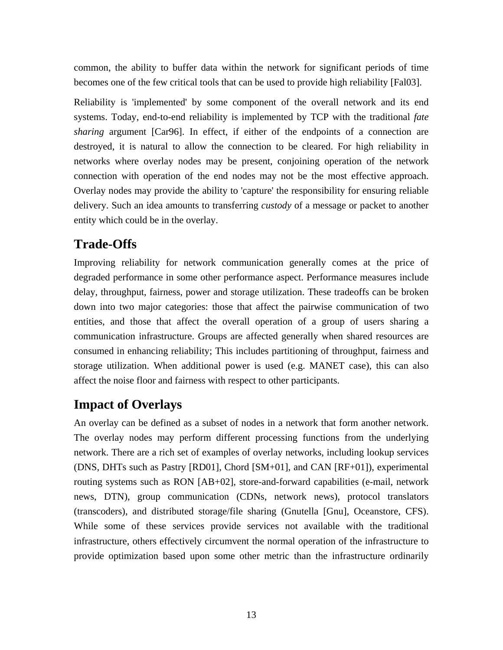common, the ability to buffer data within the network for significant periods of time becomes one of the few critical tools that can be used to provide high reliability [Fal03].

Reliability is 'implemented' by some component of the overall network and its end systems. Today, end-to-end reliability is implemented by TCP with the traditional *fate sharing* argument [Car96]. In effect, if either of the endpoints of a connection are destroyed, it is natural to allow the connection to be cleared. For high reliability in networks where overlay nodes may be present, conjoining operation of the network connection with operation of the end nodes may not be the most effective approach. Overlay nodes may provide the ability to 'capture' the responsibility for ensuring reliable delivery. Such an idea amounts to transferring *custody* of a message or packet to another entity which could be in the overlay.

## **Trade-Offs**

Improving reliability for network communication generally comes at the price of degraded performance in some other performance aspect. Performance measures include delay, throughput, fairness, power and storage utilization. These tradeoffs can be broken down into two major categories: those that affect the pairwise communication of two entities, and those that affect the overall operation of a group of users sharing a communication infrastructure. Groups are affected generally when shared resources are consumed in enhancing reliability; This includes partitioning of throughput, fairness and storage utilization. When additional power is used (e.g. MANET case), this can also affect the noise floor and fairness with respect to other participants.

# **Impact of Overlays**

An overlay can be defined as a subset of nodes in a network that form another network. The overlay nodes may perform different processing functions from the underlying network. There are a rich set of examples of overlay networks, including lookup services (DNS, DHTs such as Pastry [RD01], Chord [SM+01], and CAN [RF+01]), experimental routing systems such as RON [AB+02], store-and-forward capabilities (e-mail, network news, DTN), group communication (CDNs, network news), protocol translators (transcoders), and distributed storage/file sharing (Gnutella [Gnu], Oceanstore, CFS). While some of these services provide services not available with the traditional infrastructure, others effectively circumvent the normal operation of the infrastructure to provide optimization based upon some other metric than the infrastructure ordinarily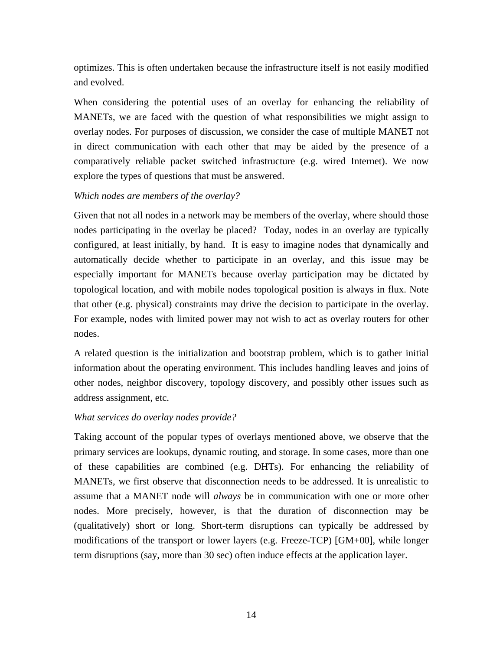optimizes. This is often undertaken because the infrastructure itself is not easily modified and evolved.

When considering the potential uses of an overlay for enhancing the reliability of MANETs, we are faced with the question of what responsibilities we might assign to overlay nodes. For purposes of discussion, we consider the case of multiple MANET not in direct communication with each other that may be aided by the presence of a comparatively reliable packet switched infrastructure (e.g. wired Internet). We now explore the types of questions that must be answered.

#### *Which nodes are members of the overlay?*

Given that not all nodes in a network may be members of the overlay, where should those nodes participating in the overlay be placed? Today, nodes in an overlay are typically configured, at least initially, by hand. It is easy to imagine nodes that dynamically and automatically decide whether to participate in an overlay, and this issue may be especially important for MANETs because overlay participation may be dictated by topological location, and with mobile nodes topological position is always in flux. Note that other (e.g. physical) constraints may drive the decision to participate in the overlay. For example, nodes with limited power may not wish to act as overlay routers for other nodes.

A related question is the initialization and bootstrap problem, which is to gather initial information about the operating environment. This includes handling leaves and joins of other nodes, neighbor discovery, topology discovery, and possibly other issues such as address assignment, etc.

#### *What services do overlay nodes provide?*

Taking account of the popular types of overlays mentioned above, we observe that the primary services are lookups, dynamic routing, and storage. In some cases, more than one of these capabilities are combined (e.g. DHTs). For enhancing the reliability of MANETs, we first observe that disconnection needs to be addressed. It is unrealistic to assume that a MANET node will *always* be in communication with one or more other nodes. More precisely, however, is that the duration of disconnection may be (qualitatively) short or long. Short-term disruptions can typically be addressed by modifications of the transport or lower layers (e.g. Freeze-TCP) [GM+00], while longer term disruptions (say, more than 30 sec) often induce effects at the application layer.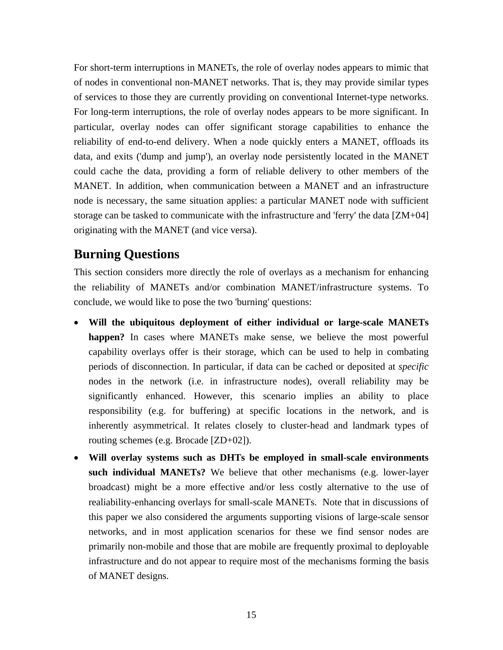For short-term interruptions in MANETs, the role of overlay nodes appears to mimic that of nodes in conventional non-MANET networks. That is, they may provide similar types of services to those they are currently providing on conventional Internet-type networks. For long-term interruptions, the role of overlay nodes appears to be more significant. In particular, overlay nodes can offer significant storage capabilities to enhance the reliability of end-to-end delivery. When a node quickly enters a MANET, offloads its data, and exits ('dump and jump'), an overlay node persistently located in the MANET could cache the data, providing a form of reliable delivery to other members of the MANET. In addition, when communication between a MANET and an infrastructure node is necessary, the same situation applies: a particular MANET node with sufficient storage can be tasked to communicate with the infrastructure and 'ferry' the data [ZM+04] originating with the MANET (and vice versa).

### **Burning Questions**

This section considers more directly the role of overlays as a mechanism for enhancing the reliability of MANETs and/or combination MANET/infrastructure systems. To conclude, we would like to pose the two 'burning' questions:

- **Will the ubiquitous deployment of either individual or large-scale MANETs happen?** In cases where MANETs make sense, we believe the most powerful capability overlays offer is their storage, which can be used to help in combating periods of disconnection. In particular, if data can be cached or deposited at *specific* nodes in the network (i.e. in infrastructure nodes), overall reliability may be significantly enhanced. However, this scenario implies an ability to place responsibility (e.g. for buffering) at specific locations in the network, and is inherently asymmetrical. It relates closely to cluster-head and landmark types of routing schemes (e.g. Brocade [ZD+02]).
- **Will overlay systems such as DHTs be employed in small-scale environments such individual MANETs?** We believe that other mechanisms (e.g. lower-layer broadcast) might be a more effective and/or less costly alternative to the use of realiability-enhancing overlays for small-scale MANETs. Note that in discussions of this paper we also considered the arguments supporting visions of large-scale sensor networks, and in most application scenarios for these we find sensor nodes are primarily non-mobile and those that are mobile are frequently proximal to deployable infrastructure and do not appear to require most of the mechanisms forming the basis of MANET designs.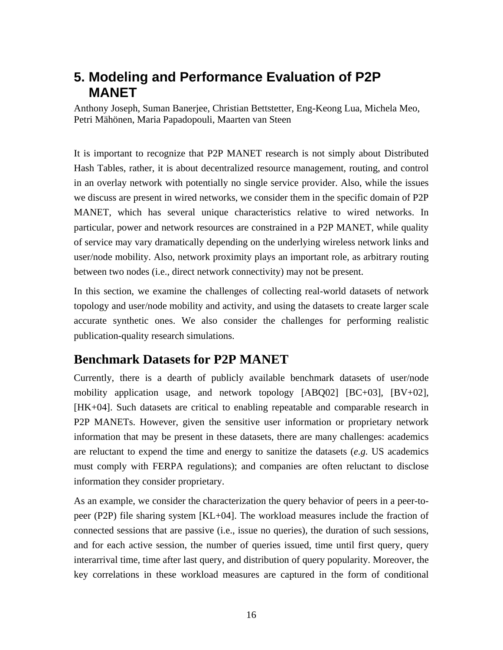# **5. Modeling and Performance Evaluation of P2P MANET**

Anthony Joseph, Suman Banerjee, Christian Bettstetter, Eng-Keong Lua, Michela Meo, Petri Mähönen, Maria Papadopouli, Maarten van Steen

It is important to recognize that P2P MANET research is not simply about Distributed Hash Tables, rather, it is about decentralized resource management, routing, and control in an overlay network with potentially no single service provider. Also, while the issues we discuss are present in wired networks, we consider them in the specific domain of P2P MANET, which has several unique characteristics relative to wired networks. In particular, power and network resources are constrained in a P2P MANET, while quality of service may vary dramatically depending on the underlying wireless network links and user/node mobility. Also, network proximity plays an important role, as arbitrary routing between two nodes (i.e., direct network connectivity) may not be present.

In this section, we examine the challenges of collecting real-world datasets of network topology and user/node mobility and activity, and using the datasets to create larger scale accurate synthetic ones. We also consider the challenges for performing realistic publication-quality research simulations.

### **Benchmark Datasets for P2P MANET**

Currently, there is a dearth of publicly available benchmark datasets of user/node mobility application usage, and network topology [ABQ02] [BC+03], [BV+02], [HK+04]. Such datasets are critical to enabling repeatable and comparable research in P2P MANETs. However, given the sensitive user information or proprietary network information that may be present in these datasets, there are many challenges: academics are reluctant to expend the time and energy to sanitize the datasets (*e.g.* US academics must comply with FERPA regulations); and companies are often reluctant to disclose information they consider proprietary.

As an example, we consider the characterization the query behavior of peers in a peer-topeer (P2P) file sharing system [KL+04]. The workload measures include the fraction of connected sessions that are passive (i.e., issue no queries), the duration of such sessions, and for each active session, the number of queries issued, time until first query, query interarrival time, time after last query, and distribution of query popularity. Moreover, the key correlations in these workload measures are captured in the form of conditional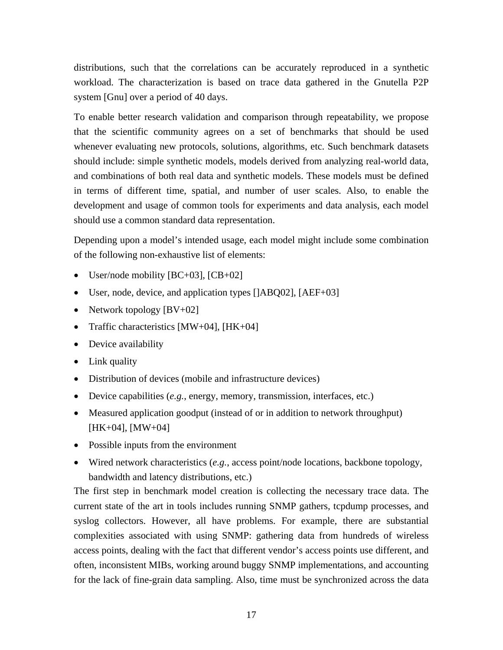distributions, such that the correlations can be accurately reproduced in a synthetic workload. The characterization is based on trace data gathered in the Gnutella P2P system [Gnu] over a period of 40 days.

To enable better research validation and comparison through repeatability, we propose that the scientific community agrees on a set of benchmarks that should be used whenever evaluating new protocols, solutions, algorithms, etc. Such benchmark datasets should include: simple synthetic models, models derived from analyzing real-world data, and combinations of both real data and synthetic models. These models must be defined in terms of different time, spatial, and number of user scales. Also, to enable the development and usage of common tools for experiments and data analysis, each model should use a common standard data representation.

Depending upon a model's intended usage, each model might include some combination of the following non-exhaustive list of elements:

- User/node mobility [BC+03], [CB+02]
- User, node, device, and application types []ABQ02], [AEF+03]
- Network topology  $[BV+02]$
- Traffic characteristics [MW+04], [HK+04]
- Device availability
- Link quality
- Distribution of devices (mobile and infrastructure devices)
- Device capabilities (*e.g.*, energy, memory, transmission, interfaces, etc.)
- Measured application goodput (instead of or in addition to network throughput) [HK+04], [MW+04]
- Possible inputs from the environment
- Wired network characteristics (*e.g.*, access point/node locations, backbone topology, bandwidth and latency distributions, etc.)

The first step in benchmark model creation is collecting the necessary trace data. The current state of the art in tools includes running SNMP gathers, tcpdump processes, and syslog collectors. However, all have problems. For example, there are substantial complexities associated with using SNMP: gathering data from hundreds of wireless access points, dealing with the fact that different vendor's access points use different, and often, inconsistent MIBs, working around buggy SNMP implementations, and accounting for the lack of fine-grain data sampling. Also, time must be synchronized across the data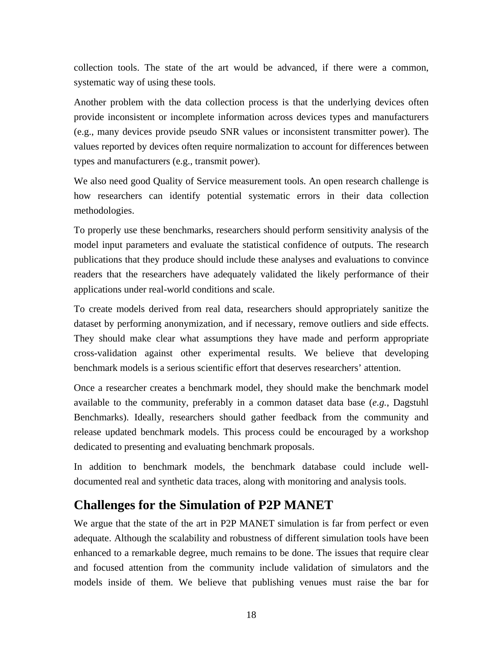collection tools. The state of the art would be advanced, if there were a common, systematic way of using these tools.

Another problem with the data collection process is that the underlying devices often provide inconsistent or incomplete information across devices types and manufacturers (e.g., many devices provide pseudo SNR values or inconsistent transmitter power). The values reported by devices often require normalization to account for differences between types and manufacturers (e.g., transmit power).

We also need good Quality of Service measurement tools. An open research challenge is how researchers can identify potential systematic errors in their data collection methodologies.

To properly use these benchmarks, researchers should perform sensitivity analysis of the model input parameters and evaluate the statistical confidence of outputs. The research publications that they produce should include these analyses and evaluations to convince readers that the researchers have adequately validated the likely performance of their applications under real-world conditions and scale.

To create models derived from real data, researchers should appropriately sanitize the dataset by performing anonymization, and if necessary, remove outliers and side effects. They should make clear what assumptions they have made and perform appropriate cross-validation against other experimental results. We believe that developing benchmark models is a serious scientific effort that deserves researchers' attention.

Once a researcher creates a benchmark model, they should make the benchmark model available to the community, preferably in a common dataset data base (*e.g.*, Dagstuhl Benchmarks). Ideally, researchers should gather feedback from the community and release updated benchmark models. This process could be encouraged by a workshop dedicated to presenting and evaluating benchmark proposals.

In addition to benchmark models, the benchmark database could include welldocumented real and synthetic data traces, along with monitoring and analysis tools.

### **Challenges for the Simulation of P2P MANET**

We argue that the state of the art in P2P MANET simulation is far from perfect or even adequate. Although the scalability and robustness of different simulation tools have been enhanced to a remarkable degree, much remains to be done. The issues that require clear and focused attention from the community include validation of simulators and the models inside of them. We believe that publishing venues must raise the bar for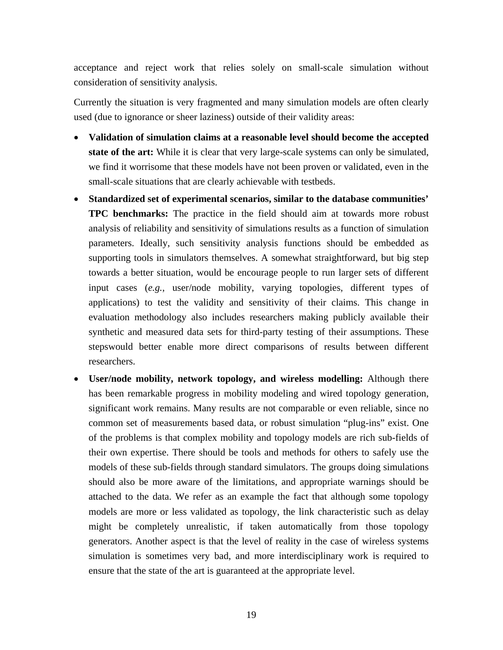acceptance and reject work that relies solely on small-scale simulation without consideration of sensitivity analysis.

Currently the situation is very fragmented and many simulation models are often clearly used (due to ignorance or sheer laziness) outside of their validity areas:

- **Validation of simulation claims at a reasonable level should become the accepted state of the art:** While it is clear that very large-scale systems can only be simulated, we find it worrisome that these models have not been proven or validated, even in the small-scale situations that are clearly achievable with testbeds.
- **Standardized set of experimental scenarios, similar to the database communities' TPC benchmarks:** The practice in the field should aim at towards more robust analysis of reliability and sensitivity of simulations results as a function of simulation parameters. Ideally, such sensitivity analysis functions should be embedded as supporting tools in simulators themselves. A somewhat straightforward, but big step towards a better situation, would be encourage people to run larger sets of different input cases (*e.g.*, user/node mobility, varying topologies, different types of applications) to test the validity and sensitivity of their claims. This change in evaluation methodology also includes researchers making publicly available their synthetic and measured data sets for third-party testing of their assumptions. These stepswould better enable more direct comparisons of results between different researchers.
- **User/node mobility, network topology, and wireless modelling:** Although there has been remarkable progress in mobility modeling and wired topology generation, significant work remains. Many results are not comparable or even reliable, since no common set of measurements based data, or robust simulation "plug-ins" exist. One of the problems is that complex mobility and topology models are rich sub-fields of their own expertise. There should be tools and methods for others to safely use the models of these sub-fields through standard simulators. The groups doing simulations should also be more aware of the limitations, and appropriate warnings should be attached to the data. We refer as an example the fact that although some topology models are more or less validated as topology, the link characteristic such as delay might be completely unrealistic, if taken automatically from those topology generators. Another aspect is that the level of reality in the case of wireless systems simulation is sometimes very bad, and more interdisciplinary work is required to ensure that the state of the art is guaranteed at the appropriate level.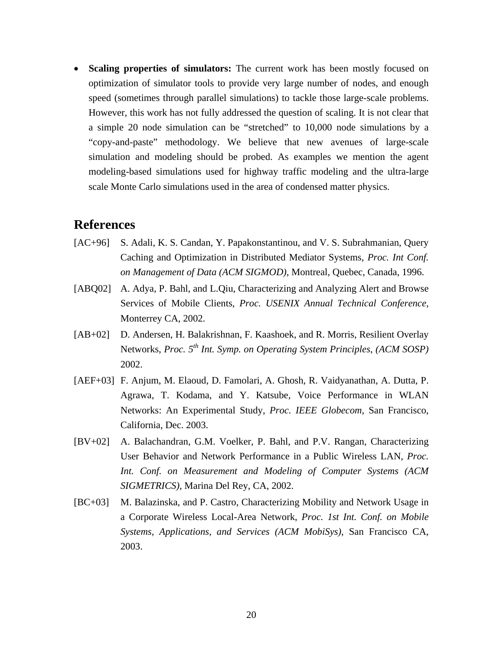• **Scaling properties of simulators:** The current work has been mostly focused on optimization of simulator tools to provide very large number of nodes, and enough speed (sometimes through parallel simulations) to tackle those large-scale problems. However, this work has not fully addressed the question of scaling. It is not clear that a simple 20 node simulation can be "stretched" to 10,000 node simulations by a "copy-and-paste" methodology. We believe that new avenues of large-scale simulation and modeling should be probed. As examples we mention the agent modeling-based simulations used for highway traffic modeling and the ultra-large scale Monte Carlo simulations used in the area of condensed matter physics.

#### **References**

- [AC+96] S. Adali, K. S. Candan, Y. Papakonstantinou, and V. S. Subrahmanian, Query Caching and Optimization in Distributed Mediator Systems, *Proc. Int Conf. on Management of Data (ACM SIGMOD)*, Montreal, Quebec, Canada, 1996.
- [ABQ02] A. Adya, P. Bahl, and L.Qiu, Characterizing and Analyzing Alert and Browse Services of Mobile Clients, *Proc. USENIX Annual Technical Conference*, Monterrey CA, 2002.
- [AB+02] D. Andersen, H. Balakrishnan, F. Kaashoek, and R. Morris, Resilient Overlay Networks, *Proc.*  $5^{th}$  *Int.* Symp. on Operating System Principles, *(ACM SOSP)* 2002.
- [AEF+03] F. Anjum, M. Elaoud, D. Famolari, A. Ghosh, R. Vaidyanathan, A. Dutta, P. Agrawa, T. Kodama, and Y. Katsube, Voice Performance in WLAN Networks: An Experimental Study, *Proc. IEEE Globecom*, San Francisco, California, Dec. 2003.
- [BV+02] A. Balachandran, G.M. Voelker, P. Bahl, and P.V. Rangan, Characterizing User Behavior and Network Performance in a Public Wireless LAN, *Proc. Int. Conf. on Measurement and Modeling of Computer Systems (ACM SIGMETRICS)*, Marina Del Rey, CA, 2002.
- [BC+03] M. Balazinska, and P. Castro, Characterizing Mobility and Network Usage in a Corporate Wireless Local-Area Network, *Proc. 1st Int. Conf. on Mobile Systems, Applications, and Services (ACM MobiSys)*, San Francisco CA, 2003.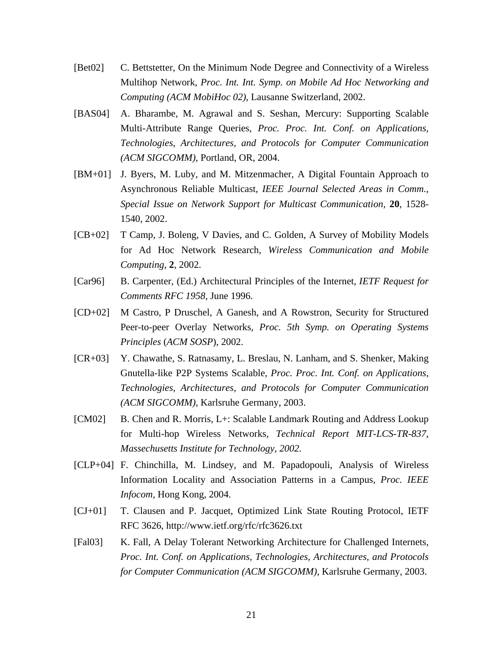- [Bet02] C. Bettstetter, On the Minimum Node Degree and Connectivity of a Wireless Multihop Network, *Proc. Int. Int. Symp. on Mobile Ad Hoc Networking and Computing (ACM MobiHoc 02)*, Lausanne Switzerland, 2002.
- [BAS04] A. Bharambe, M. Agrawal and S. Seshan, Mercury: Supporting Scalable Multi-Attribute Range Queries, *Proc. Proc. Int. Conf. on Applications, Technologies, Architectures, and Protocols for Computer Communication (ACM SIGCOMM)*, Portland, OR, 2004.
- [BM+01] J. Byers, M. Luby, and M. Mitzenmacher, A Digital Fountain Approach to Asynchronous Reliable Multicast, *IEEE Journal Selected Areas in Comm.*, *Special Issue on Network Support for Multicast Communication,* **20**, 1528- 1540, 2002.
- [CB+02] T Camp, J. Boleng, V Davies, and C. Golden, A Survey of Mobility Models for Ad Hoc Network Research, *Wireless Communication and Mobile Computing*, **2**, 2002.
- [Car96] B. Carpenter, (Ed.) Architectural Principles of the Internet, *IETF Request for Comments RFC 1958*, June 1996.
- [CD+02] M Castro, P Druschel, A Ganesh, and A Rowstron, Security for Structured Peer-to-peer Overlay Networks, *Proc. 5th Symp. on Operating Systems Principles* (*ACM SOSP*), 2002.
- [CR+03] Y. Chawathe, S. Ratnasamy, L. Breslau, N. Lanham, and S. Shenker, Making Gnutella-like P2P Systems Scalable, *Proc. Proc. Int. Conf. on Applications, Technologies, Architectures, and Protocols for Computer Communication (ACM SIGCOMM)*, Karlsruhe Germany, 2003.
- [CM02] B. Chen and R. Morris, L+: Scalable Landmark Routing and Address Lookup for Multi-hop Wireless Networks, *Technical Report MIT-LCS-TR-837, Massechusetts Institute for Technology, 2002.*
- [CLP+04] F. Chinchilla, M. Lindsey, and M. Papadopouli, Analysis of Wireless Information Locality and Association Patterns in a Campus, *Proc. IEEE Infocom,* Hong Kong, 2004.
- [CJ+01] T. Clausen and P. Jacquet, Optimized Link State Routing Protocol, IETF RFC 3626, http://www.ietf.org/rfc/rfc3626.txt
- [Fal03] K. Fall, A Delay Tolerant Networking Architecture for Challenged Internets, *Proc. Int. Conf. on Applications, Technologies, Architectures, and Protocols for Computer Communication (ACM SIGCOMM)*, Karlsruhe Germany, 2003.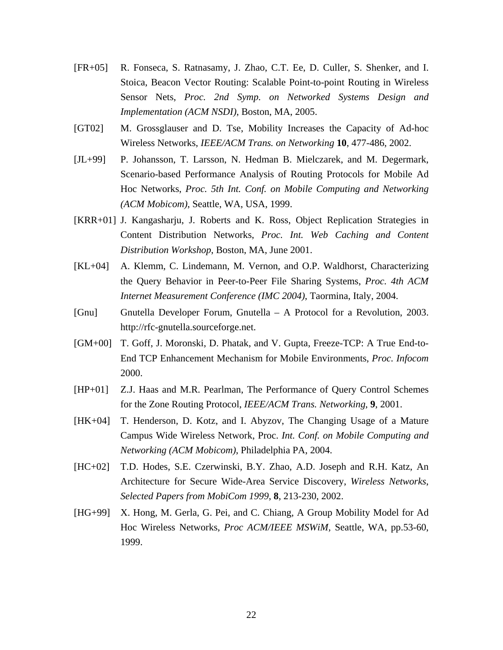- [FR+05] R. Fonseca, S. Ratnasamy, J. Zhao, C.T. Ee, D. Culler, S. Shenker, and I. Stoica, Beacon Vector Routing: Scalable Point-to-point Routing in Wireless Sensor Nets, *Proc. 2nd Symp. on Networked Systems Design and Implementation (ACM NSDI)*, Boston, MA, 2005.
- [GT02] M. Grossglauser and D. Tse, Mobility Increases the Capacity of Ad-hoc Wireless Networks, *IEEE/ACM Trans. on Networking* **10**, 477-486, 2002.
- [JL+99] P. Johansson, T. Larsson, N. Hedman B. Mielczarek, and M. Degermark, Scenario-based Performance Analysis of Routing Protocols for Mobile Ad Hoc Networks, *Proc. 5th Int. Conf. on Mobile Computing and Networking (ACM Mobicom)*, Seattle, WA, USA, 1999.
- [KRR+01] J. Kangasharju, J. Roberts and K. Ross, Object Replication Strategies in Content Distribution Networks, *Proc. Int. Web Caching and Content Distribution Workshop*, Boston, MA, June 2001.
- [KL+04] A. Klemm, C. Lindemann, M. Vernon, and O.P. Waldhorst, Characterizing the Query Behavior in Peer-to-Peer File Sharing Systems, *Proc. 4th ACM Internet Measurement Conference (IMC 2004)*, Taormina, Italy, 2004.
- [Gnu] Gnutella Developer Forum, Gnutella A Protocol for a Revolution, 2003. http://rfc-gnutella.sourceforge.net.
- [GM+00] T. Goff, J. Moronski, D. Phatak, and V. Gupta, Freeze-TCP: A True End-to-End TCP Enhancement Mechanism for Mobile Environments, *Proc. Infocom* 2000.
- [HP+01] Z.J. Haas and M.R. Pearlman, The Performance of Query Control Schemes for the Zone Routing Protocol, *IEEE/ACM Trans. Networking*, **9**, 2001.
- [HK+04] T. Henderson, D. Kotz, and I. Abyzov, The Changing Usage of a Mature Campus Wide Wireless Network, Proc. *Int. Conf. on Mobile Computing and Networking (ACM Mobicom)*, Philadelphia PA, 2004.
- [HC+02] T.D. Hodes, S.E. Czerwinski, B.Y. Zhao, A.D. Joseph and R.H. Katz, An Architecture for Secure Wide-Area Service Discovery, *Wireless Networks*, *Selected Papers from MobiCom 1999*, **8**, 213-230, 2002.
- [HG+99] X. Hong, M. Gerla, G. Pei, and C. Chiang, A Group Mobility Model for Ad Hoc Wireless Networks, *Proc ACM/IEEE MSWiM,* Seattle, WA, pp.53-60, 1999.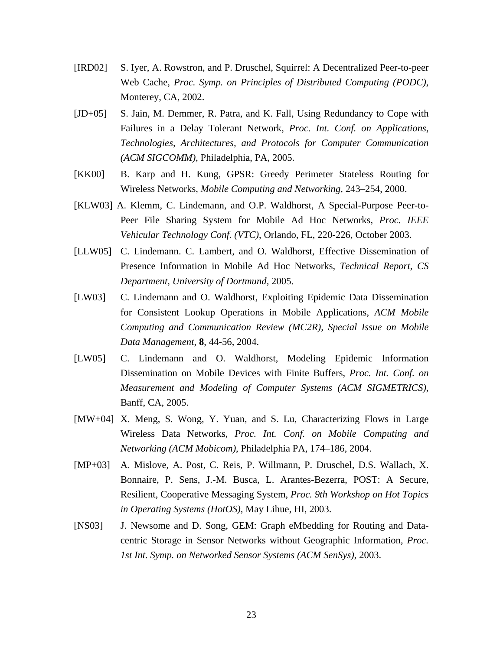- [IRD02] S. Iyer, A. Rowstron, and P. Druschel, Squirrel: A Decentralized Peer-to-peer Web Cache, *Proc. Symp. on Principles of Distributed Computing (PODC)*, Monterey, CA, 2002.
- [JD+05] S. Jain, M. Demmer, R. Patra, and K. Fall, Using Redundancy to Cope with Failures in a Delay Tolerant Network, *Proc. Int. Conf. on Applications, Technologies, Architectures, and Protocols for Computer Communication (ACM SIGCOMM)*, Philadelphia, PA, 2005.
- [KK00] B. Karp and H. Kung, GPSR: Greedy Perimeter Stateless Routing for Wireless Networks, *Mobile Computing and Networking*, 243–254, 2000.
- [KLW03] A. Klemm, C. Lindemann, and O.P. Waldhorst, A Special-Purpose Peer-to-Peer File Sharing System for Mobile Ad Hoc Networks, *Proc. IEEE Vehicular Technology Conf. (VTC)*, Orlando, FL, 220-226, October 2003.
- [LLW05] C. Lindemann. C. Lambert, and O. Waldhorst, Effective Dissemination of Presence Information in Mobile Ad Hoc Networks, *Technical Report, CS Department, University of Dortmund,* 2005.
- [LW03] C. Lindemann and O. Waldhorst, Exploiting Epidemic Data Dissemination for Consistent Lookup Operations in Mobile Applications, *ACM Mobile Computing and Communication Review (MC2R), Special Issue on Mobile Data Management*, **8**, 44-56, 2004.
- [LW05] C. Lindemann and O. Waldhorst, Modeling Epidemic Information Dissemination on Mobile Devices with Finite Buffers, *Proc. Int. Conf. on Measurement and Modeling of Computer Systems (ACM SIGMETRICS)*, Banff, CA, 2005.
- [MW+04] X. Meng, S. Wong, Y. Yuan, and S. Lu, Characterizing Flows in Large Wireless Data Networks, *Proc. Int. Conf. on Mobile Computing and Networking (ACM Mobicom)*, Philadelphia PA, 174–186, 2004.
- [MP+03] A. Mislove, A. Post, C. Reis, P. Willmann, P. Druschel, D.S. Wallach, X. Bonnaire, P. Sens, J.-M. Busca, L. Arantes-Bezerra, POST: A Secure, Resilient, Cooperative Messaging System, *Proc. 9th Workshop on Hot Topics in Operating Systems (HotOS),* May Lihue, HI, 2003.
- [NS03] J. Newsome and D. Song, GEM: Graph eMbedding for Routing and Datacentric Storage in Sensor Networks without Geographic Information, *Proc. 1st Int. Symp. on Networked Sensor Systems (ACM SenSys)*, 2003.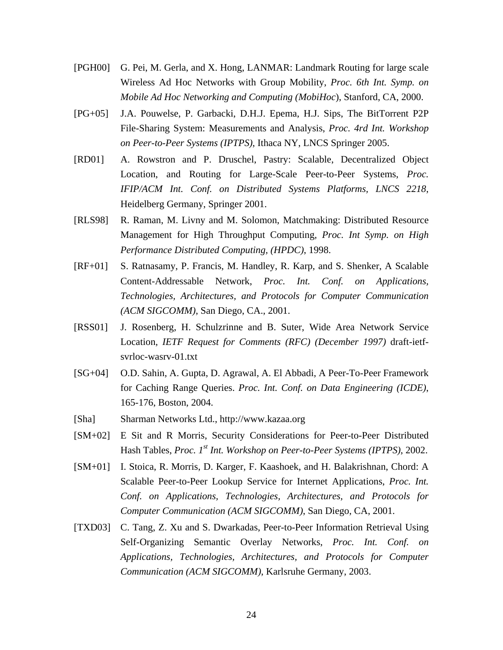- [PGH00] G. Pei, M. Gerla, and X. Hong, LANMAR: Landmark Routing for large scale Wireless Ad Hoc Networks with Group Mobility, *Proc. 6th Int. Symp. on Mobile Ad Hoc Networking and Computing (MobiHoc*), Stanford, CA, 2000.
- [PG+05] J.A. Pouwelse, P. Garbacki, D.H.J. Epema, H.J. Sips, The BitTorrent P2P File-Sharing System: Measurements and Analysis, *Proc. 4rd Int. Workshop on Peer-to-Peer Systems (IPTPS)*, Ithaca NY, LNCS Springer 2005.
- [RD01] A. Rowstron and P. Druschel, Pastry: Scalable, Decentralized Object Location, and Routing for Large-Scale Peer-to-Peer Systems, *Proc. IFIP/ACM Int. Conf. on Distributed Systems Platforms, LNCS 2218*, Heidelberg Germany, Springer 2001.
- [RLS98] R. Raman, M. Livny and M. Solomon, Matchmaking: Distributed Resource Management for High Throughput Computing, *Proc. Int Symp. on High Performance Distributed Computing, (HPDC)*, 1998.
- [RF+01] S. Ratnasamy, P. Francis, M. Handley, R. Karp, and S. Shenker, A Scalable Content-Addressable Network, *Proc. Int. Conf. on Applications, Technologies, Architectures, and Protocols for Computer Communication (ACM SIGCOMM)*, San Diego, CA., 2001.
- [RSS01] J. Rosenberg, H. Schulzrinne and B. Suter, Wide Area Network Service Location, *IETF Request for Comments (RFC) (December 1997)* draft-ietfsvrloc-wasrv-01.txt
- [SG+04] O.D. Sahin, A. Gupta, D. Agrawal, A. El Abbadi, A Peer-To-Peer Framework for Caching Range Queries. *Proc. Int. Conf. on Data Engineering (ICDE)*, 165-176, Boston, 2004.
- [Sha] Sharman Networks Ltd., http://www.kazaa.org
- [SM+02] E Sit and R Morris, Security Considerations for Peer-to-Peer Distributed Hash Tables, *Proc. 1st Int. Workshop on Peer-to-Peer Systems (IPTPS)*, 2002.
- [SM+01] I. Stoica, R. Morris, D. Karger, F. Kaashoek, and H. Balakrishnan, Chord: A Scalable Peer-to-Peer Lookup Service for Internet Applications, *Proc. Int. Conf. on Applications, Technologies, Architectures, and Protocols for Computer Communication (ACM SIGCOMM)*, San Diego, CA, 2001.
- [TXD03] C. Tang, Z. Xu and S. Dwarkadas, Peer-to-Peer Information Retrieval Using Self-Organizing Semantic Overlay Networks, *Proc. Int. Conf. on Applications, Technologies, Architectures, and Protocols for Computer Communication (ACM SIGCOMM)*, Karlsruhe Germany, 2003.